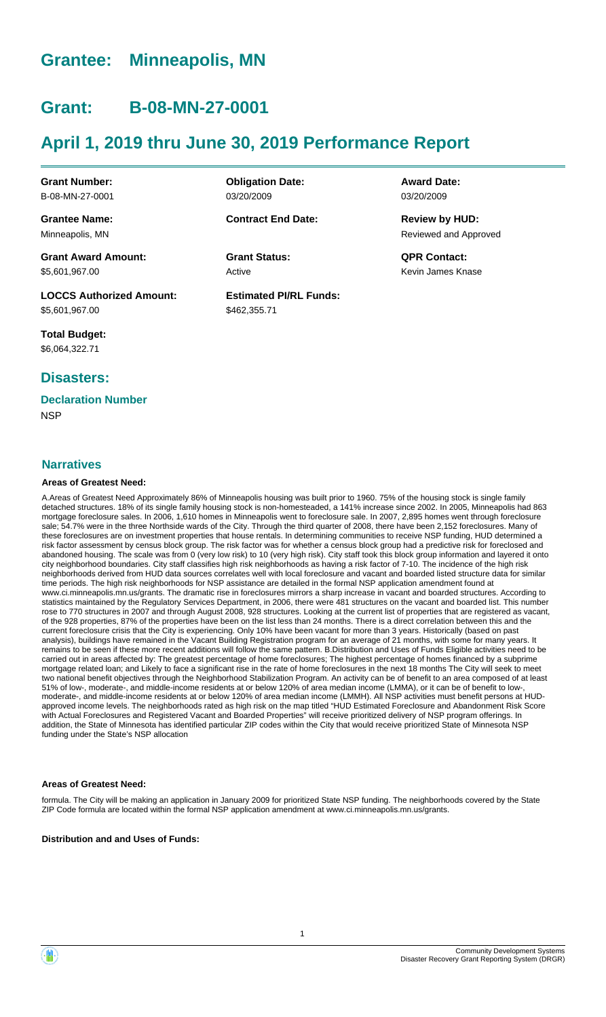# **Grantee: Minneapolis, MN**

# **Grant: B-08-MN-27-0001**

# **April 1, 2019 thru June 30, 2019 Performance Report**

**Grant Number:** B-08-MN-27-0001

**Grantee Name:** Minneapolis, MN

**Grant Award Amount:** \$5,601,967.00

**LOCCS Authorized Amount:** \$5,601,967.00

**Total Budget:** \$6,064,322.71

# **Disasters:**

# **Declaration Number**

**NSP** 

#### **Narratives**

#### **Areas of Greatest Need:**

A.Areas of Greatest Need Approximately 86% of Minneapolis housing was built prior to 1960. 75% of the housing stock is single family detached structures. 18% of its single family housing stock is non-homesteaded, a 141% increase since 2002. In 2005, Minneapolis had 863 mortgage foreclosure sales. In 2006, 1,610 homes in Minneapolis went to foreclosure sale. In 2007, 2,895 homes went through foreclosure sale; 54.7% were in the three Northside wards of the City. Through the third quarter of 2008, there have been 2,152 foreclosures. Many of these foreclosures are on investment properties that house rentals. In determining communities to receive NSP funding, HUD determined a risk factor assessment by census block group. The risk factor was for whether a census block group had a predictive risk for foreclosed and abandoned housing. The scale was from 0 (very low risk) to 10 (very high risk). City staff took this block group information and layered it onto city neighborhood boundaries. City staff classifies high risk neighborhoods as having a risk factor of 7-10. The incidence of the high risk neighborhoods derived from HUD data sources correlates well with local foreclosure and vacant and boarded listed structure data for similar time periods. The high risk neighborhoods for NSP assistance are detailed in the formal NSP application amendment found at www.ci.minneapolis.mn.us/grants. The dramatic rise in foreclosures mirrors a sharp increase in vacant and boarded structures. According to statistics maintained by the Regulatory Services Department, in 2006, there were 481 structures on the vacant and boarded list. This number rose to 770 structures in 2007 and through August 2008, 928 structures. Looking at the current list of properties that are registered as vacant, of the 928 properties, 87% of the properties have been on the list less than 24 months. There is a direct correlation between this and the current foreclosure crisis that the City is experiencing. Only 10% have been vacant for more than 3 years. Historically (based on past analysis), buildings have remained in the Vacant Building Registration program for an average of 21 months, with some for many years. It remains to be seen if these more recent additions will follow the same pattern. B.Distribution and Uses of Funds Eligible activities need to be carried out in areas affected by: The greatest percentage of home foreclosures; The highest percentage of homes financed by a subprime mortgage related loan; and Likely to face a significant rise in the rate of home foreclosures in the next 18 months The City will seek to meet two national benefit objectives through the Neighborhood Stabilization Program. An activity can be of benefit to an area composed of at least 51% of low-, moderate-, and middle-income residents at or below 120% of area median income (LMMA), or it can be of benefit to low-, moderate-, and middle-income residents at or below 120% of area median income (LMMH). All NSP activities must benefit persons at HUDapproved income levels. The neighborhoods rated as high risk on the map titled "HUD Estimated Foreclosure and Abandonment Risk Score with Actual Foreclosures and Registered Vacant and Boarded Properties" will receive prioritized delivery of NSP program offerings. In addition, the State of Minnesota has identified particular ZIP codes within the City that would receive prioritized State of Minnesota NSP funding under the State's NSP allocation

#### **Areas of Greatest Need:**

formula. The City will be making an application in January 2009 for prioritized State NSP funding. The neighborhoods covered by the State ZIP Code formula are located within the formal NSP application amendment at www.ci.minneapolis.mn.us/grants.

**Distribution and and Uses of Funds:**

**Obligation Date:** 03/20/2009

**Contract End Date:**

Active **Grant Status: QPR Contact:**

**Estimated PI/RL Funds:** \$462,355.71

**Award Date:** 03/20/2009

Reviewed and Approved **Review by HUD:**

Kevin James Knase

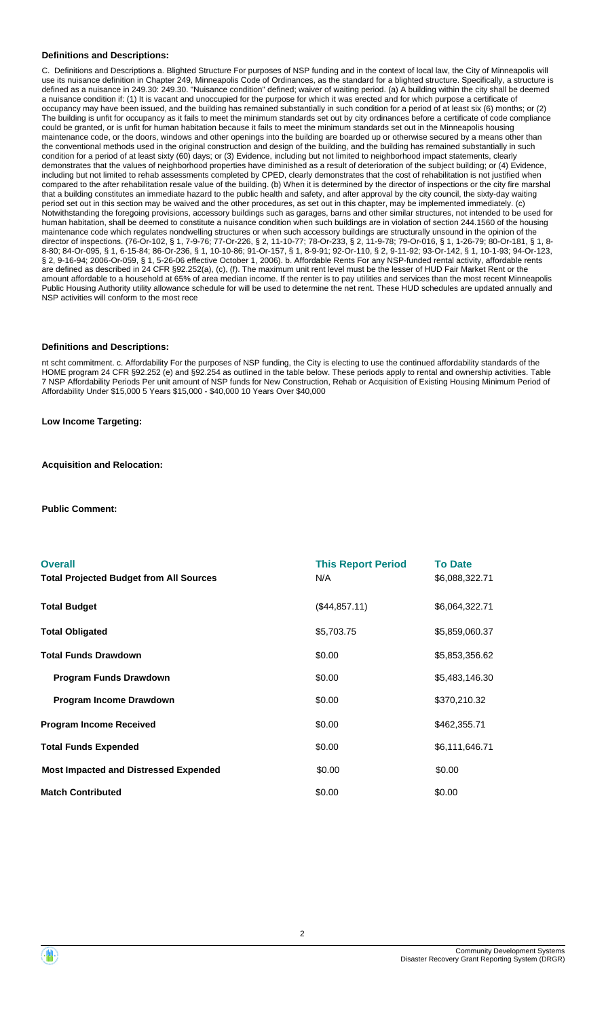#### **Definitions and Descriptions:**

C. Definitions and Descriptions a. Blighted Structure For purposes of NSP funding and in the context of local law, the City of Minneapolis will use its nuisance definition in Chapter 249, Minneapolis Code of Ordinances, as the standard for a blighted structure. Specifically, a structure is defined as a nuisance in 249.30: 249.30. "Nuisance condition" defined; waiver of waiting period. (a) A building within the city shall be deemed a nuisance condition if: (1) It is vacant and unoccupied for the purpose for which it was erected and for which purpose a certificate of occupancy may have been issued, and the building has remained substantially in such condition for a period of at least six (6) months; or (2) The building is unfit for occupancy as it fails to meet the minimum standards set out by city ordinances before a certificate of code compliance could be granted, or is unfit for human habitation because it fails to meet the minimum standards set out in the Minneapolis housing maintenance code, or the doors, windows and other openings into the building are boarded up or otherwise secured by a means other than the conventional methods used in the original construction and design of the building, and the building has remained substantially in such condition for a period of at least sixty (60) days; or (3) Evidence, including but not limited to neighborhood impact statements, clearly demonstrates that the values of neighborhood properties have diminished as a result of deterioration of the subject building; or (4) Evidence, including but not limited to rehab assessments completed by CPED, clearly demonstrates that the cost of rehabilitation is not justified when compared to the after rehabilitation resale value of the building. (b) When it is determined by the director of inspections or the city fire marshal that a building constitutes an immediate hazard to the public health and safety, and after approval by the city council, the sixty-day waiting period set out in this section may be waived and the other procedures, as set out in this chapter, may be implemented immediately. (c) Notwithstanding the foregoing provisions, accessory buildings such as garages, barns and other similar structures, not intended to be used for human habitation, shall be deemed to constitute a nuisance condition when such buildings are in violation of section 244.1560 of the housing maintenance code which regulates nondwelling structures or when such accessory buildings are structurally unsound in the opinion of the director of inspections. (76-Or-102, § 1, 7-9-76; 77-Or-226, § 2, 11-10-77; 78-Or-233, § 2, 11-9-78; 79-Or-016, § 1, 1-26-79; 80-Or-181, § 1, 8- 8-80; 84-Or-095, § 1, 6-15-84; 86-Or-236, § 1, 10-10-86; 91-Or-157, § 1, 8-9-91; 92-Or-110, § 2, 9-11-92; 93-Or-142, § 1, 10-1-93; 94-Or-123, § 2, 9-16-94; 2006-Or-059, § 1, 5-26-06 effective October 1, 2006). b. Affordable Rents For any NSP-funded rental activity, affordable rents are defined as described in 24 CFR §92.252(a), (c), (f). The maximum unit rent level must be the lesser of HUD Fair Market Rent or the amount affordable to a household at 65% of area median income. If the renter is to pay utilities and services than the most recent Minneapolis Public Housing Authority utility allowance schedule for will be used to determine the net rent. These HUD schedules are updated annually and NSP activities will conform to the most rece

#### **Definitions and Descriptions:**

nt scht commitment. c. Affordability For the purposes of NSP funding, the City is electing to use the continued affordability standards of the HOME program 24 CFR §92.252 (e) and §92.254 as outlined in the table below. These periods apply to rental and ownership activities. Table 7 NSP Affordability Periods Per unit amount of NSP funds for New Construction, Rehab or Acquisition of Existing Housing Minimum Period of Affordability Under \$15,000 5 Years \$15,000 - \$40,000 10 Years Over \$40,000

**Low Income Targeting:**

**Acquisition and Relocation:**

**Public Comment:**

| <b>Overall</b><br><b>Total Projected Budget from All Sources</b> | <b>This Report Period</b><br>N/A | <b>To Date</b><br>\$6,088,322.71 |
|------------------------------------------------------------------|----------------------------------|----------------------------------|
| <b>Total Budget</b>                                              | (\$44,857.11)                    | \$6,064,322.71                   |
| <b>Total Obligated</b>                                           | \$5,703.75                       | \$5,859,060.37                   |
| <b>Total Funds Drawdown</b>                                      | \$0.00                           | \$5,853,356.62                   |
| <b>Program Funds Drawdown</b>                                    | \$0.00                           | \$5,483,146.30                   |
| Program Income Drawdown                                          | \$0.00                           | \$370,210.32                     |
| <b>Program Income Received</b>                                   | \$0.00                           | \$462,355.71                     |
| <b>Total Funds Expended</b>                                      | \$0.00                           | \$6,111,646.71                   |
| <b>Most Impacted and Distressed Expended</b>                     | \$0.00                           | \$0.00                           |
| <b>Match Contributed</b>                                         | \$0.00                           | \$0.00                           |

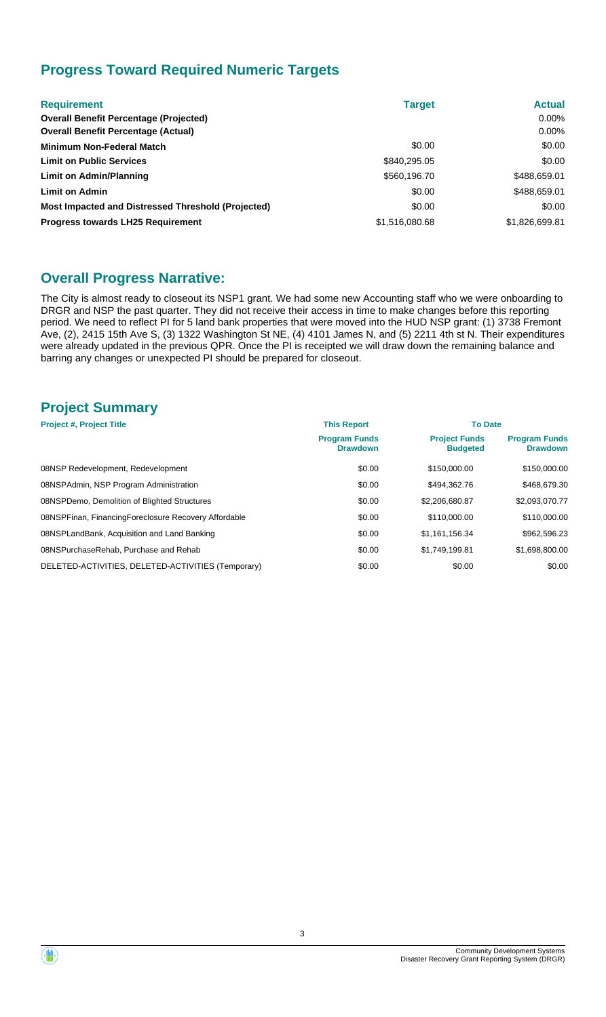# **Progress Toward Required Numeric Targets**

| <b>Requirement</b>                                 | <b>Target</b>  | <b>Actual</b>  |
|----------------------------------------------------|----------------|----------------|
| <b>Overall Benefit Percentage (Projected)</b>      |                | $0.00\%$       |
| <b>Overall Benefit Percentage (Actual)</b>         |                | $0.00\%$       |
| <b>Minimum Non-Federal Match</b>                   | \$0.00         | \$0.00         |
| <b>Limit on Public Services</b>                    | \$840,295.05   | \$0.00         |
| Limit on Admin/Planning                            | \$560,196.70   | \$488,659.01   |
| <b>Limit on Admin</b>                              | \$0.00         | \$488,659.01   |
| Most Impacted and Distressed Threshold (Projected) | \$0.00         | \$0.00         |
| <b>Progress towards LH25 Requirement</b>           | \$1,516,080.68 | \$1,826,699.81 |

# **Overall Progress Narrative:**

The City is almost ready to closeout its NSP1 grant. We had some new Accounting staff who we were onboarding to DRGR and NSP the past quarter. They did not receive their access in time to make changes before this reporting period. We need to reflect PI for 5 land bank properties that were moved into the HUD NSP grant: (1) 3738 Fremont Ave, (2), 2415 15th Ave S, (3) 1322 Washington St NE, (4) 4101 James N, and (5) 2211 4th st N. Their expenditures were already updated in the previous QPR. Once the PI is receipted we will draw down the remaining balance and barring any changes or unexpected PI should be prepared for closeout.

# **Project Summary**

| <b>Project #, Project Title</b>                      | <b>This Report</b>                      | <b>To Date</b>                          |                                         |  |
|------------------------------------------------------|-----------------------------------------|-----------------------------------------|-----------------------------------------|--|
|                                                      | <b>Program Funds</b><br><b>Drawdown</b> | <b>Project Funds</b><br><b>Budgeted</b> | <b>Program Funds</b><br><b>Drawdown</b> |  |
| 08NSP Redevelopment, Redevelopment                   | \$0.00                                  | \$150,000.00                            | \$150,000.00                            |  |
| 08NSPAdmin, NSP Program Administration               | \$0.00                                  | \$494.362.76                            | \$468,679.30                            |  |
| 08NSPDemo, Demolition of Blighted Structures         | \$0.00                                  | \$2,206,680.87                          | \$2,093,070.77                          |  |
| 08NSPFinan, FinancingForeclosure Recovery Affordable | \$0.00                                  | \$110,000.00                            | \$110,000.00                            |  |
| 08NSPLandBank, Acquisition and Land Banking          | \$0.00                                  | \$1.161.156.34                          | \$962,596.23                            |  |
| 08NSPurchaseRehab, Purchase and Rehab                | \$0.00                                  | \$1.749.199.81                          | \$1,698,800.00                          |  |
| DELETED-ACTIVITIES, DELETED-ACTIVITIES (Temporary)   | \$0.00                                  | \$0.00                                  | \$0.00                                  |  |

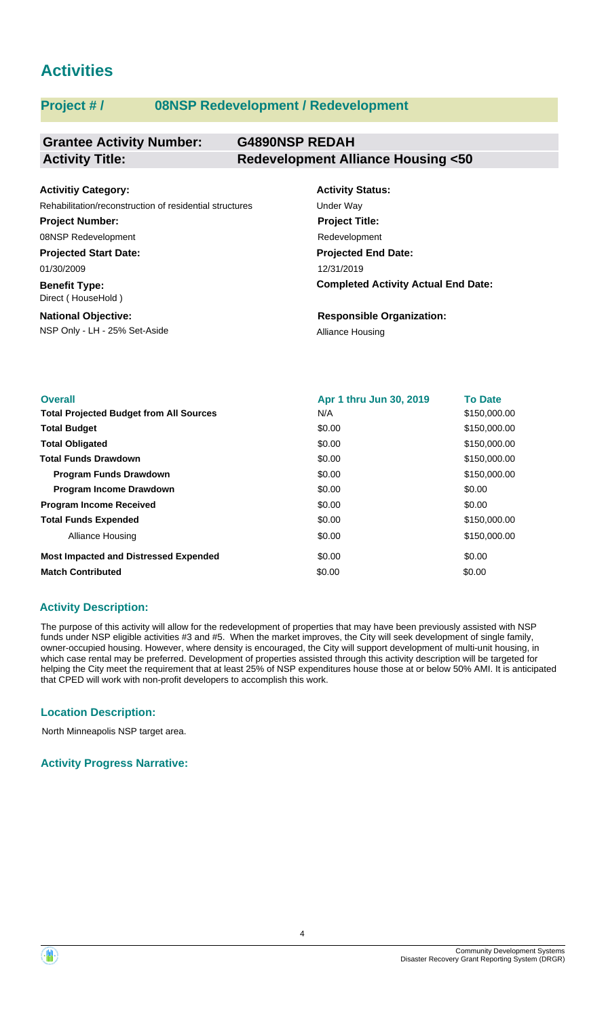# **Activities**

# **Project # / 08NSP Redevelopment / Redevelopment**

#### **Grantee Activity Number: G4890NSP REDAH Activity Title: Redevelopment Alliance Housing <50**

| <b>Activitiy Category:</b>                              | <b>Activity Status:</b>                    |
|---------------------------------------------------------|--------------------------------------------|
| Rehabilitation/reconstruction of residential structures | Under Wav                                  |
| <b>Project Number:</b>                                  | <b>Project Title:</b>                      |
| 08NSP Redevelopment                                     | Redevelopment                              |
| <b>Projected Start Date:</b>                            | <b>Projected End Date:</b>                 |
| 01/30/2009                                              | 12/31/2019                                 |
| <b>Benefit Type:</b><br>Direct (HouseHold)              | <b>Completed Activity Actual End Date:</b> |
| <b>National Objective:</b>                              | <b>Responsible Organization:</b>           |
| NSP Only - LH - 25% Set-Aside                           | <b>Alliance Housing</b>                    |

| <b>Overall</b>                                 | Apr 1 thru Jun 30, 2019 | <b>To Date</b> |
|------------------------------------------------|-------------------------|----------------|
| <b>Total Projected Budget from All Sources</b> | N/A                     | \$150,000.00   |
| <b>Total Budget</b>                            | \$0.00                  | \$150,000.00   |
| <b>Total Obligated</b>                         | \$0.00                  | \$150,000.00   |
| <b>Total Funds Drawdown</b>                    | \$0.00                  | \$150,000.00   |
| <b>Program Funds Drawdown</b>                  | \$0.00                  | \$150,000.00   |
| <b>Program Income Drawdown</b>                 | \$0.00                  | \$0.00         |
| <b>Program Income Received</b>                 | \$0.00                  | \$0.00         |
| <b>Total Funds Expended</b>                    | \$0.00                  | \$150,000.00   |
| Alliance Housing                               | \$0.00                  | \$150,000.00   |
| <b>Most Impacted and Distressed Expended</b>   | \$0.00                  | \$0.00         |
| <b>Match Contributed</b>                       | \$0.00                  | \$0.00         |

## **Activity Description:**

The purpose of this activity will allow for the redevelopment of properties that may have been previously assisted with NSP funds under NSP eligible activities #3 and #5. When the market improves, the City will seek development of single family, owner-occupied housing. However, where density is encouraged, the City will support development of multi-unit housing, in which case rental may be preferred. Development of properties assisted through this activity description will be targeted for helping the City meet the requirement that at least 25% of NSP expenditures house those at or below 50% AMI. It is anticipated that CPED will work with non-profit developers to accomplish this work.

## **Location Description:**

North Minneapolis NSP target area.

**Activity Progress Narrative:**

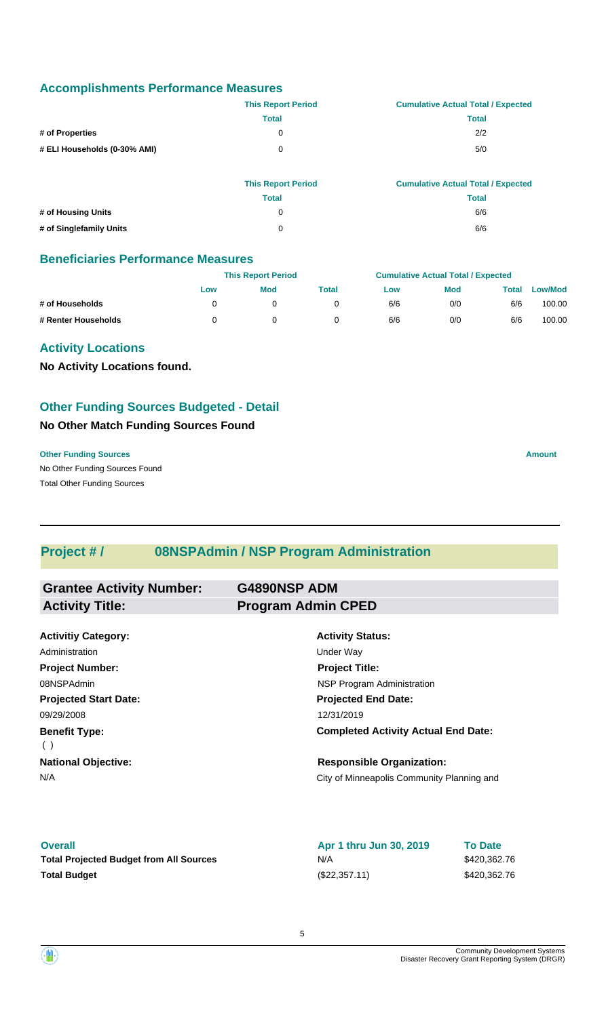### **Accomplishments Performance Measures**

|                              | <b>This Report Period</b> | <b>Cumulative Actual Total / Expected</b> |
|------------------------------|---------------------------|-------------------------------------------|
|                              | Total                     | Total                                     |
| # of Properties              | 0                         | 2/2                                       |
| # ELI Households (0-30% AMI) | 0                         | 5/0                                       |

|                         | <b>This Report Period</b> | <b>Cumulative Actual Total / Expected</b> |
|-------------------------|---------------------------|-------------------------------------------|
|                         | Total                     | Total                                     |
| # of Housing Units      | 0                         | 6/6                                       |
| # of Singlefamily Units | 0                         | 6/6                                       |

## **Beneficiaries Performance Measures**

|                     |     | <b>This Report Period</b> |       |     | <b>Cumulative Actual Total / Expected</b> |       |                |  |
|---------------------|-----|---------------------------|-------|-----|-------------------------------------------|-------|----------------|--|
|                     | Low | <b>Mod</b>                | Total | Low | <b>Mod</b>                                | Total | <b>Low/Mod</b> |  |
| # of Households     |     |                           |       | 6/6 | 0/0                                       | 6/6   | 100.00         |  |
| # Renter Households |     |                           |       | 6/6 | 0/0                                       | 6/6   | 100.00         |  |

## **Activity Locations**

**No Activity Locations found.**

# **Other Funding Sources Budgeted - Detail**

### **No Other Match Funding Sources Found**

No Other Funding Sources Found **Other Funding Sources Amount Amount Amount Amount Amount Amount Amount** Total Other Funding Sources

# **Project # / 08NSPAdmin / NSP Program Administration**

| <b>Grantee Activity Number:</b> | <b>G4890NSP ADM</b>                        |
|---------------------------------|--------------------------------------------|
| <b>Activity Title:</b>          | <b>Program Admin CPED</b>                  |
|                                 |                                            |
| <b>Activitiy Category:</b>      | <b>Activity Status:</b>                    |
| Administration                  | Under Way                                  |
| <b>Project Number:</b>          | <b>Project Title:</b>                      |
| 08NSPAdmin                      | NSP Program Administration                 |
| <b>Projected Start Date:</b>    | <b>Projected End Date:</b>                 |
| 09/29/2008                      | 12/31/2019                                 |
| <b>Benefit Type:</b><br>(       | <b>Completed Activity Actual End Date:</b> |
| <b>National Objective:</b>      | <b>Responsible Organization:</b>           |
| N/A                             | City of Minneapolis Community Planning and |

#### **Overall**

Total Projected Budget from All Sources **\$420,362.76** N/A **Total Budget** (\$22,357.11)

**Apr 1 thru Jun 30, 2019** N/A

\$420,362.76 **To Date**

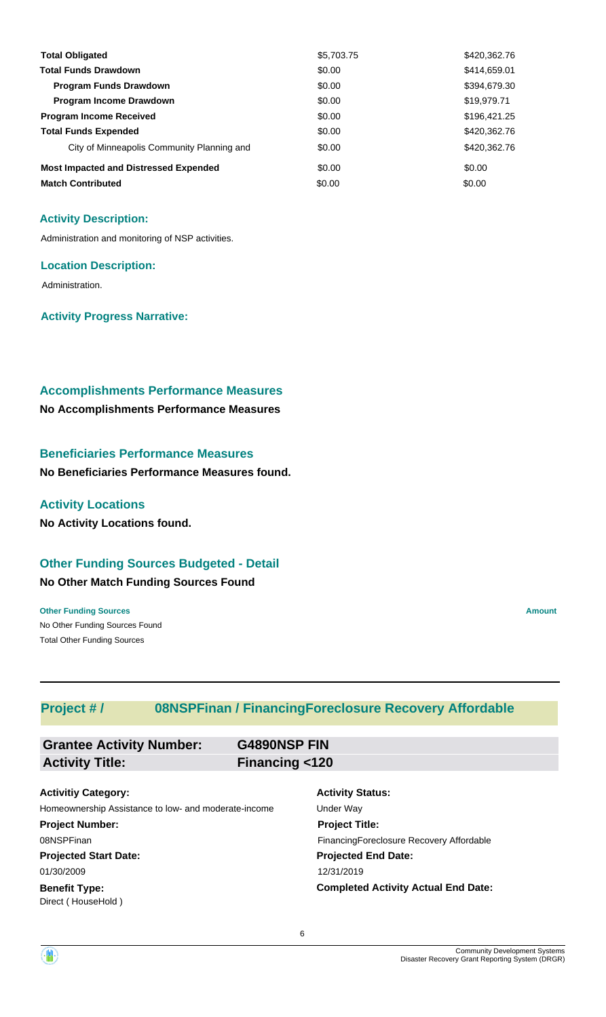| <b>Total Obligated</b>                       | \$5,703.75 | \$420,362.76 |
|----------------------------------------------|------------|--------------|
| <b>Total Funds Drawdown</b>                  | \$0.00     | \$414,659.01 |
| <b>Program Funds Drawdown</b>                | \$0.00     | \$394,679.30 |
| <b>Program Income Drawdown</b>               | \$0.00     | \$19,979.71  |
| <b>Program Income Received</b>               | \$0.00     | \$196,421.25 |
| <b>Total Funds Expended</b>                  | \$0.00     | \$420,362.76 |
| City of Minneapolis Community Planning and   | \$0.00     | \$420,362.76 |
| <b>Most Impacted and Distressed Expended</b> | \$0.00     | \$0.00       |
| <b>Match Contributed</b>                     | \$0.00     | \$0.00       |

#### **Activity Description:**

Administration and monitoring of NSP activities.

#### **Location Description:**

Administration.

### **Activity Progress Narrative:**

#### **Accomplishments Performance Measures**

**No Accomplishments Performance Measures**

### **Beneficiaries Performance Measures**

**No Beneficiaries Performance Measures found.**

#### **Activity Locations**

**No Activity Locations found.**

# **Other Funding Sources Budgeted - Detail**

#### **No Other Match Funding Sources Found**

No Other Funding Sources Found **Other Funding Sources Amount** Total Other Funding Sources

# **Project # / 08NSPFinan / FinancingForeclosure Recovery Affordable**

| <b>Grantee Activity Number:</b>                      | G4890NSP FIN   |                                            |
|------------------------------------------------------|----------------|--------------------------------------------|
| <b>Activity Title:</b>                               | Financing <120 |                                            |
| <b>Activitiy Category:</b>                           |                | <b>Activity Status:</b>                    |
| Homeownership Assistance to low- and moderate-income |                | Under Way                                  |
| <b>Project Number:</b>                               |                | <b>Project Title:</b>                      |
| 08NSPFinan                                           |                | Financing Foreclosure Recovery Affordable  |
| <b>Projected Start Date:</b>                         |                | <b>Projected End Date:</b>                 |
| 01/30/2009                                           |                | 12/31/2019                                 |
| <b>Benefit Type:</b><br>Direct (HouseHold)           |                | <b>Completed Activity Actual End Date:</b> |

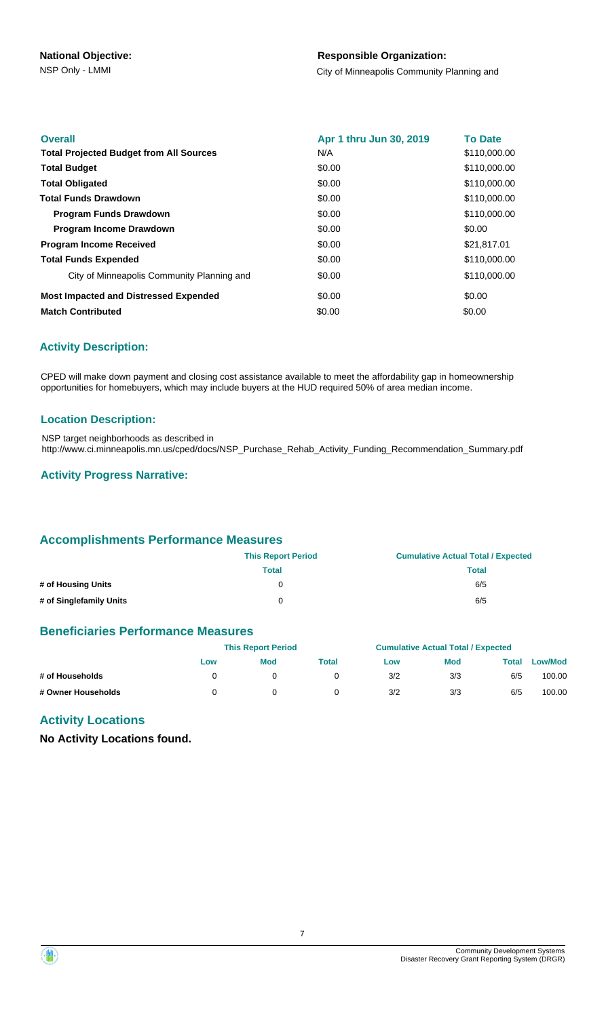### **Responsible Organization:**

NSP Only - LMMI **NATURE 2018** City of Minneapolis Community Planning and

| <b>Overall</b>                                 | Apr 1 thru Jun 30, 2019 | <b>To Date</b> |
|------------------------------------------------|-------------------------|----------------|
| <b>Total Projected Budget from All Sources</b> | N/A                     | \$110,000.00   |
| <b>Total Budget</b>                            | \$0.00                  | \$110,000.00   |
| <b>Total Obligated</b>                         | \$0.00                  | \$110,000.00   |
| <b>Total Funds Drawdown</b>                    | \$0.00                  | \$110,000.00   |
| <b>Program Funds Drawdown</b>                  | \$0.00                  | \$110,000.00   |
| Program Income Drawdown                        | \$0.00                  | \$0.00         |
| <b>Program Income Received</b>                 | \$0.00                  | \$21,817.01    |
| <b>Total Funds Expended</b>                    | \$0.00                  | \$110,000.00   |
| City of Minneapolis Community Planning and     | \$0.00                  | \$110,000.00   |
| <b>Most Impacted and Distressed Expended</b>   | \$0.00                  | \$0.00         |
| <b>Match Contributed</b>                       | \$0.00                  | \$0.00         |

#### **Activity Description:**

CPED will make down payment and closing cost assistance available to meet the affordability gap in homeownership opportunities for homebuyers, which may include buyers at the HUD required 50% of area median income.

#### **Location Description:**

NSP target neighborhoods as described in http://www.ci.minneapolis.mn.us/cped/docs/NSP\_Purchase\_Rehab\_Activity\_Funding\_Recommendation\_Summary.pdf

#### **Activity Progress Narrative:**

#### **Accomplishments Performance Measures**

|                         | <b>This Report Period</b> | <b>Cumulative Actual Total / Expected</b> |
|-------------------------|---------------------------|-------------------------------------------|
|                         | Total                     | Total                                     |
| # of Housing Units      | 0                         | 6/5                                       |
| # of Singlefamily Units | 0                         | 6/5                                       |

#### **Beneficiaries Performance Measures**

|                    | <b>This Report Period</b> |     |       | <b>Cumulative Actual Total / Expected</b> |            |       |                |
|--------------------|---------------------------|-----|-------|-------------------------------------------|------------|-------|----------------|
|                    | Low                       | Mod | Total | Low                                       | <b>Mod</b> | Total | <b>Low/Mod</b> |
| # of Households    |                           |     |       | 3/2                                       | 3/3        | 6/5   | 100.00         |
| # Owner Households |                           |     |       | 3/2                                       | 3/3        | 6/5   | 100.00         |

# **Activity Locations**

**No Activity Locations found.**

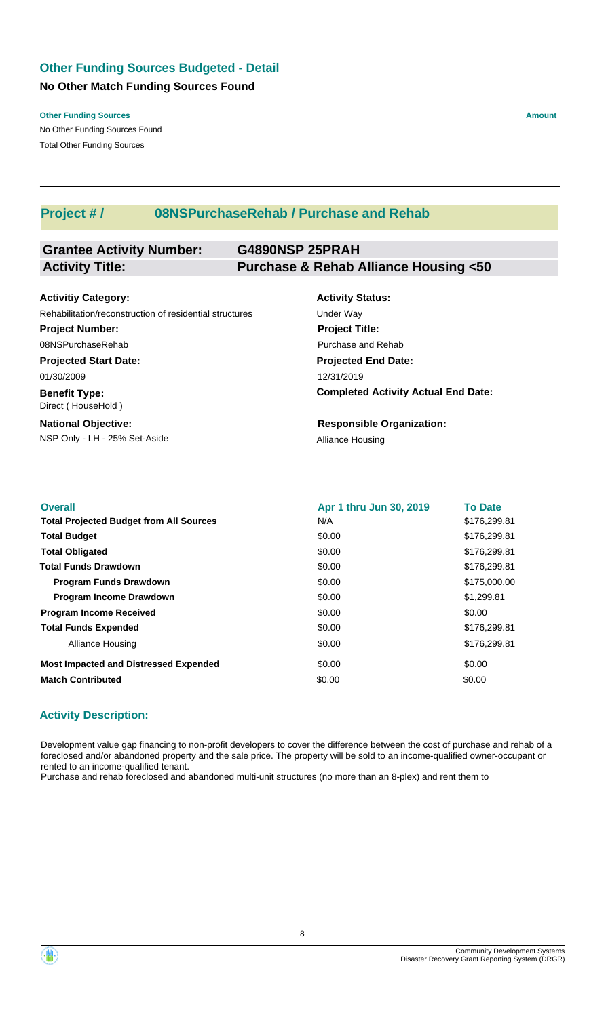# **No Other Match Funding Sources Found Other Funding Sources Budgeted - Detail**

**Other Funding Sources Amount Amount Amount Amount Amount Amount Amount** 

No Other Funding Sources Found Total Other Funding Sources

# **Project # / 08NSPurchaseRehab / Purchase and Rehab**

#### **Grantee Activity Number: G4890NSP 25PRAH Activity Title: Purchase & Rehab Alliance Housing <50**

| <b>Activitiy Category:</b>                              | <b>Activity Status:</b> |
|---------------------------------------------------------|-------------------------|
| Rehabilitation/reconstruction of residential structures | Under Way               |
| <b>Project Number:</b>                                  | <b>Project Title:</b>   |
| 08NSPurchaseRehab                                       | Purchase and Reh        |
| <b>Projected Start Date:</b>                            | <b>Projected End D</b>  |
| 01/30/2009                                              | 12/31/2019              |
| <b>Benefit Type:</b><br>Direct (HouseHold)              | <b>Completed Activ</b>  |
| <b>National Objective:</b>                              | Responsible Or          |

NSP Only - LH - 25% Set-Aside Alliance Housing

| <b>Activity Status:</b>                    |
|--------------------------------------------|
| Under Wav                                  |
| <b>Project Title:</b>                      |
| Purchase and Rehab                         |
| <b>Projected End Date:</b>                 |
| 12/31/2019                                 |
| <b>Completed Activity Actual End Date:</b> |
|                                            |

**ganization:** 

| <b>Overall</b>                                 | Apr 1 thru Jun 30, 2019 | <b>To Date</b> |
|------------------------------------------------|-------------------------|----------------|
| <b>Total Projected Budget from All Sources</b> | N/A                     | \$176,299.81   |
| <b>Total Budget</b>                            | \$0.00                  | \$176,299.81   |
| <b>Total Obligated</b>                         | \$0.00                  | \$176,299.81   |
| <b>Total Funds Drawdown</b>                    | \$0.00                  | \$176,299.81   |
| <b>Program Funds Drawdown</b>                  | \$0.00                  | \$175,000.00   |
| <b>Program Income Drawdown</b>                 | \$0.00                  | \$1,299.81     |
| <b>Program Income Received</b>                 | \$0.00                  | \$0.00         |
| <b>Total Funds Expended</b>                    | \$0.00                  | \$176,299.81   |
| Alliance Housing                               | \$0.00                  | \$176,299.81   |
| <b>Most Impacted and Distressed Expended</b>   | \$0.00                  | \$0.00         |
| <b>Match Contributed</b>                       | \$0.00                  | \$0.00         |

## **Activity Description:**

Development value gap financing to non-profit developers to cover the difference between the cost of purchase and rehab of a foreclosed and/or abandoned property and the sale price. The property will be sold to an income-qualified owner-occupant or rented to an income-qualified tenant.

Purchase and rehab foreclosed and abandoned multi-unit structures (no more than an 8-plex) and rent them to

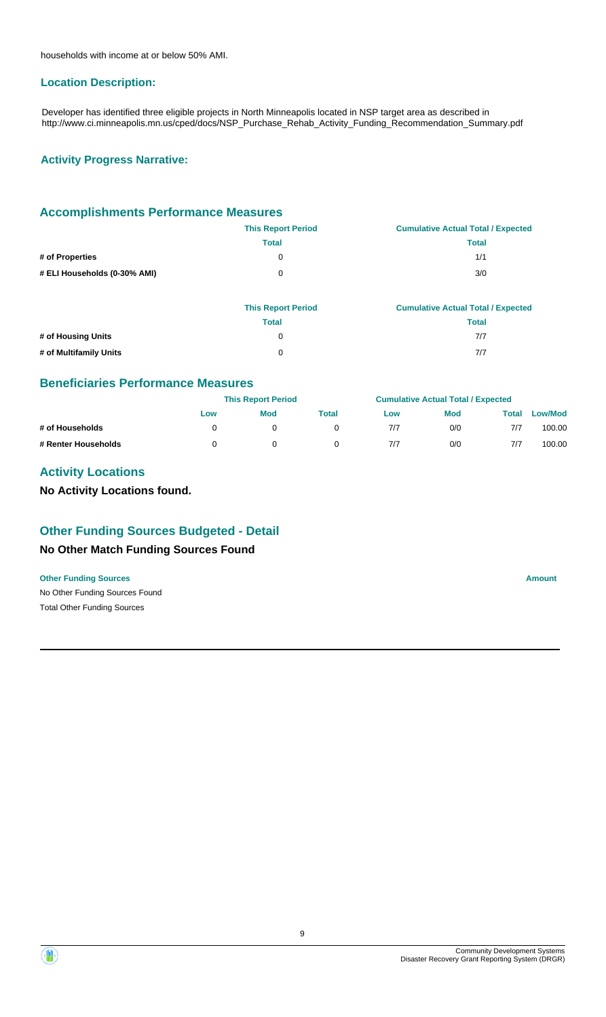households with income at or below 50% AMI.

#### **Location Description:**

Developer has identified three eligible projects in North Minneapolis located in NSP target area as described in http://www.ci.minneapolis.mn.us/cped/docs/NSP\_Purchase\_Rehab\_Activity\_Funding\_Recommendation\_Summary.pdf

#### **Activity Progress Narrative:**

#### **Accomplishments Performance Measures**

| <b>This Report Period</b> | <b>Cumulative Actual Total / Expected</b> |
|---------------------------|-------------------------------------------|
| Total                     | Total                                     |
| 0                         | 1/1                                       |
| 0                         | 3/0                                       |
|                           |                                           |

|                        | <b>This Report Period</b> | <b>Cumulative Actual Total / Expected</b> |
|------------------------|---------------------------|-------------------------------------------|
|                        | Total                     | Total                                     |
| # of Housing Units     | 0                         | 7/7                                       |
| # of Multifamily Units | 0                         | 7/7                                       |

#### **Beneficiaries Performance Measures**

|                     |     | <b>This Report Period</b> |       |     | <b>Cumulative Actual Total / Expected</b> |       |                |
|---------------------|-----|---------------------------|-------|-----|-------------------------------------------|-------|----------------|
|                     | Low | <b>Mod</b>                | Total | Low | <b>Mod</b>                                | Total | <b>Low/Mod</b> |
| # of Households     |     |                           |       | 7/7 | 0/0                                       | 7/7   | 100.00         |
| # Renter Households |     |                           |       | 7/7 | 0/0                                       | 7/7   | 100.00         |

# **Activity Locations**

**No Activity Locations found.**

# **Other Funding Sources Budgeted - Detail**

### **No Other Match Funding Sources Found**

#### **Other Funding Sources Amount Amount Amount Amount Amount Amount Amount**

No Other Funding Sources Found Total Other Funding Sources



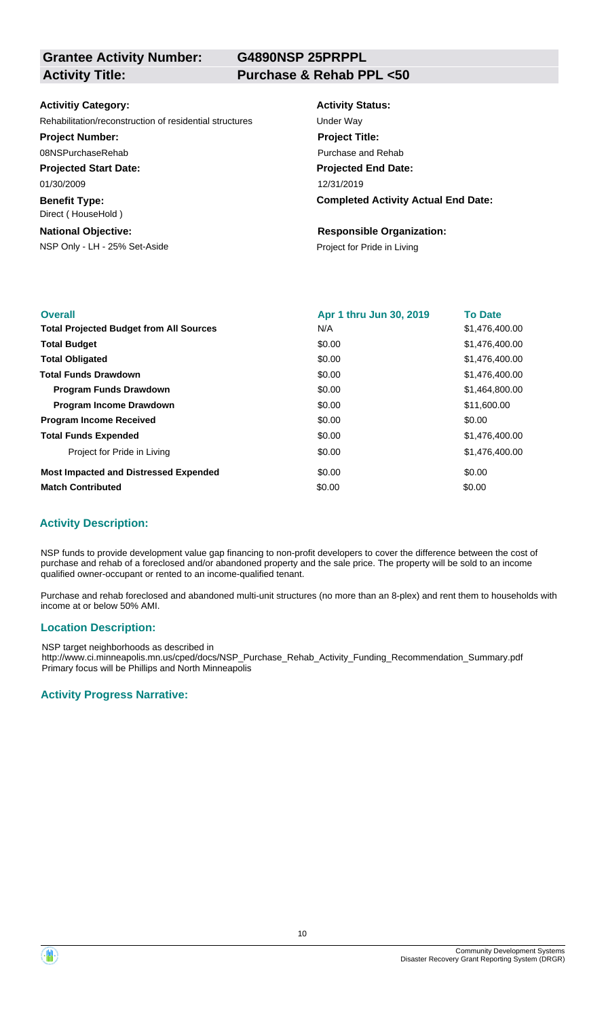**G4890NSP 25PRPPL**

#### **Activitiy Category:**

Rehabilitation/reconstruction of residential structures Under Way

#### **Project Number:**

08NSPurchaseRehab

**Projected Start Date:**

01/30/2009

**Benefit Type:** Direct ( HouseHold )

#### **National Objective:**

NSP Only - LH - 25% Set-Aside Project for Pride in Living

### **Activity Status:**

**Projected End Date: Completed Activity Actual End Date:** 12/31/2019 **Project Title:** Purchase and Rehab

#### **Responsible Organization:**

| <b>Overall</b>                                 | Apr 1 thru Jun 30, 2019 | <b>To Date</b> |
|------------------------------------------------|-------------------------|----------------|
| <b>Total Projected Budget from All Sources</b> | N/A                     | \$1,476,400.00 |
| <b>Total Budget</b>                            | \$0.00                  | \$1,476,400.00 |
| <b>Total Obligated</b>                         | \$0.00                  | \$1,476,400.00 |
| <b>Total Funds Drawdown</b>                    | \$0.00                  | \$1,476,400.00 |
| <b>Program Funds Drawdown</b>                  | \$0.00                  | \$1,464,800,00 |
| <b>Program Income Drawdown</b>                 | \$0.00                  | \$11,600.00    |
| <b>Program Income Received</b>                 | \$0.00                  | \$0.00         |
| <b>Total Funds Expended</b>                    | \$0.00                  | \$1,476,400.00 |
| Project for Pride in Living                    | \$0.00                  | \$1,476,400.00 |
| <b>Most Impacted and Distressed Expended</b>   | \$0.00                  | \$0.00         |
| <b>Match Contributed</b>                       | \$0.00                  | \$0.00         |

## **Activity Description:**

NSP funds to provide development value gap financing to non-profit developers to cover the difference between the cost of purchase and rehab of a foreclosed and/or abandoned property and the sale price. The property will be sold to an income qualified owner-occupant or rented to an income-qualified tenant.

Purchase and rehab foreclosed and abandoned multi-unit structures (no more than an 8-plex) and rent them to households with income at or below 50% AMI.

#### **Location Description:**

NSP target neighborhoods as described in http://www.ci.minneapolis.mn.us/cped/docs/NSP\_Purchase\_Rehab\_Activity\_Funding\_Recommendation\_Summary.pdf Primary focus will be Phillips and North Minneapolis

### **Activity Progress Narrative:**

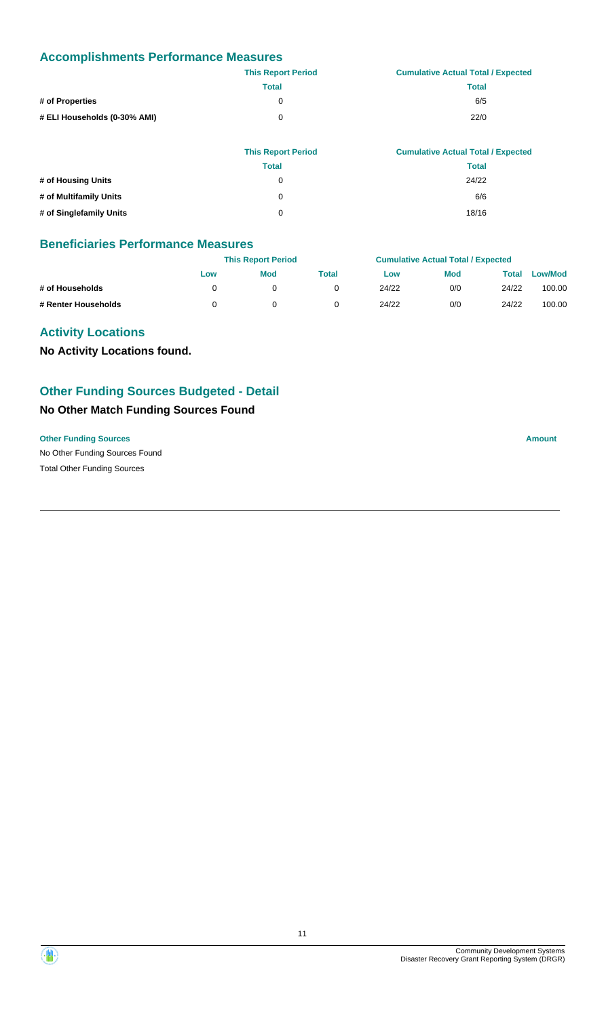# **Accomplishments Performance Measures**

|                              | <b>This Report Period</b> | <b>Cumulative Actual Total / Expected</b> |
|------------------------------|---------------------------|-------------------------------------------|
|                              | <b>Total</b>              | Total                                     |
| # of Properties              | 0                         | 6/5                                       |
| # ELI Households (0-30% AMI) | 0                         | 22/0                                      |
|                              |                           |                                           |

|                         | <b>This Report Period</b> | <b>Cumulative Actual Total / Expected</b> |
|-------------------------|---------------------------|-------------------------------------------|
|                         | <b>Total</b>              | Total                                     |
| # of Housing Units      | 0                         | 24/22                                     |
| # of Multifamily Units  | 0                         | 6/6                                       |
| # of Singlefamily Units | 0                         | 18/16                                     |

### **Beneficiaries Performance Measures**

|                     |     | <b>This Report Period</b> |       |       | <b>Cumulative Actual Total / Expected</b> |       |                |
|---------------------|-----|---------------------------|-------|-------|-------------------------------------------|-------|----------------|
|                     | Low | <b>Mod</b>                | Total | Low   | <b>Mod</b>                                | Total | <b>Low/Mod</b> |
| # of Households     |     |                           |       | 24/22 | 0/0                                       | 24/22 | 100.00         |
| # Renter Households |     |                           |       | 24/22 | 0/0                                       | 24/22 | 100.00         |

## **Activity Locations**

**No Activity Locations found.**

# **Other Funding Sources Budgeted - Detail**

### **No Other Match Funding Sources Found**

#### **Other Funding Sources Amount**

No Other Funding Sources Found Total Other Funding Sources

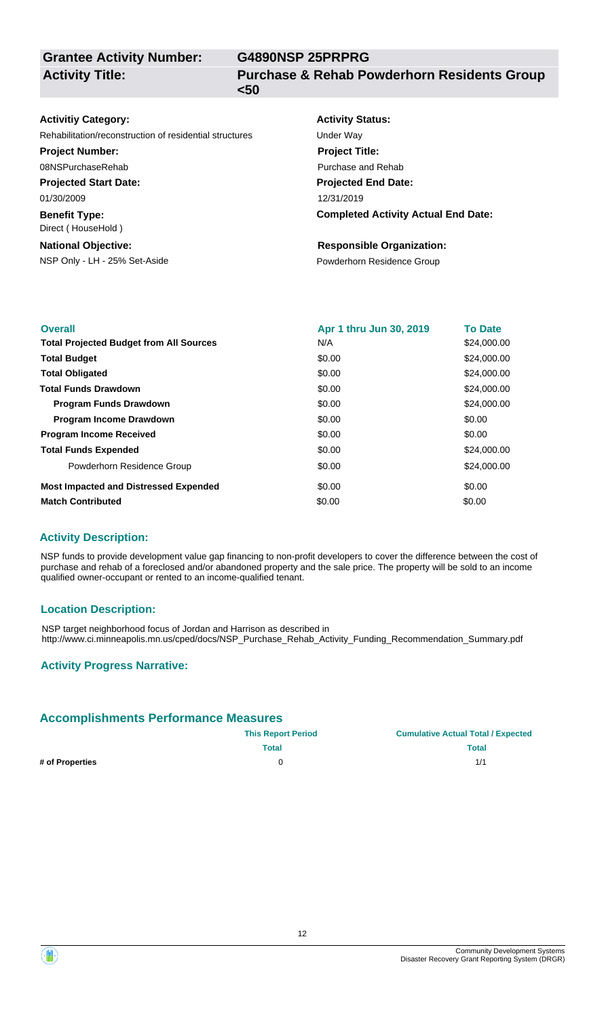**Grantee Activity Number: Activity Title:**

**G4890NSP 25PRPRG**

**Purchase & Rehab Powderhorn Residents Group <50**

| <b>Activitiy Category:</b>                              | <b>Activity Status:</b>                    |
|---------------------------------------------------------|--------------------------------------------|
| Rehabilitation/reconstruction of residential structures | Under Way                                  |
| <b>Project Number:</b>                                  | <b>Project Title:</b>                      |
| 08NSPurchaseRehab                                       | Purchase and Rehab                         |
| <b>Projected Start Date:</b>                            | <b>Projected End Date:</b>                 |
| 01/30/2009                                              | 12/31/2019                                 |
| <b>Benefit Type:</b><br>Direct (HouseHold)              | <b>Completed Activity Actual End Date:</b> |
| <b>National Objective:</b>                              | <b>Responsible Organization:</b>           |
| NSP Only - LH - 25% Set-Aside                           | Powderhorn Residence Group                 |
|                                                         |                                            |

| <b>Overall</b>                                 | Apr 1 thru Jun 30, 2019 | <b>To Date</b> |
|------------------------------------------------|-------------------------|----------------|
| <b>Total Projected Budget from All Sources</b> | N/A                     | \$24,000.00    |
| <b>Total Budget</b>                            | \$0.00                  | \$24,000.00    |
| <b>Total Obligated</b>                         | \$0.00                  | \$24,000.00    |
| <b>Total Funds Drawdown</b>                    | \$0.00                  | \$24,000.00    |
| <b>Program Funds Drawdown</b>                  | \$0.00                  | \$24,000.00    |
| <b>Program Income Drawdown</b>                 | \$0.00                  | \$0.00         |
| <b>Program Income Received</b>                 | \$0.00                  | \$0.00         |
| <b>Total Funds Expended</b>                    | \$0.00                  | \$24,000.00    |
| Powderhorn Residence Group                     | \$0.00                  | \$24,000.00    |
| <b>Most Impacted and Distressed Expended</b>   | \$0.00                  | \$0.00         |
| <b>Match Contributed</b>                       | \$0.00                  | \$0.00         |

#### **Activity Description:**

NSP funds to provide development value gap financing to non-profit developers to cover the difference between the cost of purchase and rehab of a foreclosed and/or abandoned property and the sale price. The property will be sold to an income qualified owner-occupant or rented to an income-qualified tenant.

#### **Location Description:**

NSP target neighborhood focus of Jordan and Harrison as described in http://www.ci.minneapolis.mn.us/cped/docs/NSP\_Purchase\_Rehab\_Activity\_Funding\_Recommendation\_Summary.pdf

#### **Activity Progress Narrative:**

#### **Accomplishments Performance Measures**

|       | <b>Cumulative Actual Total / Expected</b> |
|-------|-------------------------------------------|
| Total | Total                                     |
|       | 1/1                                       |
|       | <b>This Report Period</b>                 |

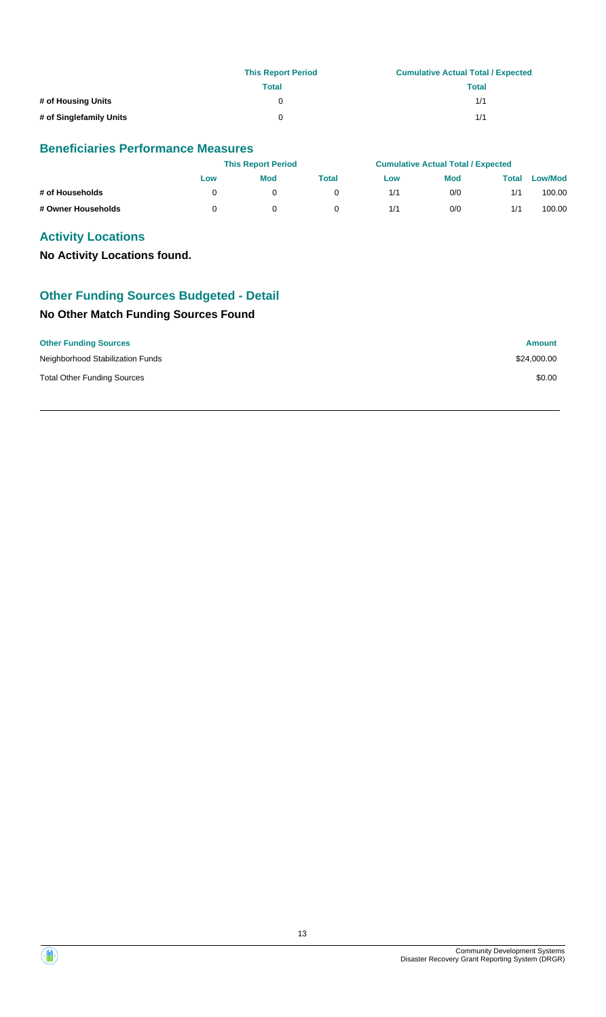|                         | <b>This Report Period</b> | <b>Cumulative Actual Total / Expected</b> |  |  |
|-------------------------|---------------------------|-------------------------------------------|--|--|
|                         | Total                     | Total                                     |  |  |
| # of Housing Units      |                           | 1/1                                       |  |  |
| # of Singlefamily Units | 0                         | 1/1                                       |  |  |

## **Beneficiaries Performance Measures**

|                    |     | <b>This Report Period</b> |       |     | <b>Cumulative Actual Total / Expected</b> |       |                |
|--------------------|-----|---------------------------|-------|-----|-------------------------------------------|-------|----------------|
|                    | Low | <b>Mod</b>                | Total | Low | <b>Mod</b>                                | Total | <b>Low/Mod</b> |
| # of Households    |     |                           |       | 1/1 | 0/0                                       | 1/1   | 100.00         |
| # Owner Households |     |                           |       | 1/1 | 0/0                                       | 1/1   | 100.00         |

# **Activity Locations**

**No Activity Locations found.**

# **Other Funding Sources Budgeted - Detail**

# **No Other Match Funding Sources Found**

| <b>Other Funding Sources</b>       | <b>Amount</b> |
|------------------------------------|---------------|
| Neighborhood Stabilization Funds   | \$24,000.00   |
| <b>Total Other Funding Sources</b> | \$0.00        |

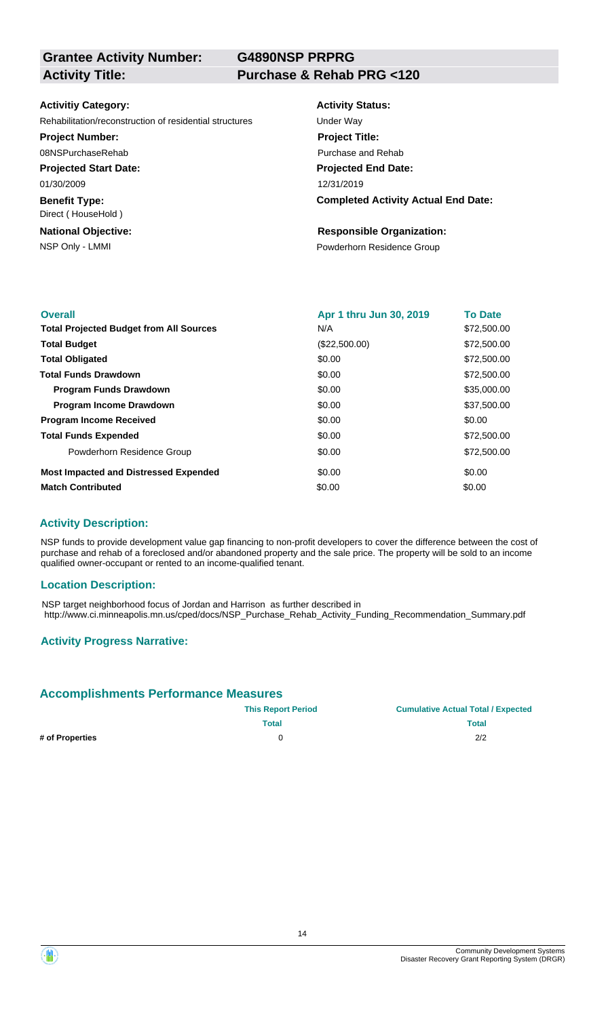**G4890NSP PRPRG**

#### **Activitiy Category:**

Rehabilitation/reconstruction of residential structures Under Way

#### **Project Number:**

08NSPurchaseRehab

**Projected Start Date:** 01/30/2009

**Benefit Type:**

# **National Objective:** Direct ( HouseHold )

# **Activity Status:**

**Projected End Date: Completed Activity Actual End Date:** 12/31/2019 **Project Title:** Purchase and Rehab

#### **Responsible Organization:**

NSP Only - LMMI **NSP Only - LMMI** Powderhorn Residence Group

| <b>Overall</b>                                 | Apr 1 thru Jun 30, 2019 | <b>To Date</b> |
|------------------------------------------------|-------------------------|----------------|
| <b>Total Projected Budget from All Sources</b> | N/A                     | \$72,500.00    |
| <b>Total Budget</b>                            | (\$22,500.00)           | \$72,500.00    |
| <b>Total Obligated</b>                         | \$0.00                  | \$72,500.00    |
| <b>Total Funds Drawdown</b>                    | \$0.00                  | \$72,500.00    |
| <b>Program Funds Drawdown</b>                  | \$0.00                  | \$35,000.00    |
| <b>Program Income Drawdown</b>                 | \$0.00                  | \$37,500.00    |
| <b>Program Income Received</b>                 | \$0.00                  | \$0.00         |
| <b>Total Funds Expended</b>                    | \$0.00                  | \$72,500.00    |
| Powderhorn Residence Group                     | \$0.00                  | \$72,500.00    |
| <b>Most Impacted and Distressed Expended</b>   | \$0.00                  | \$0.00         |
| <b>Match Contributed</b>                       | \$0.00                  | \$0.00         |

#### **Activity Description:**

NSP funds to provide development value gap financing to non-profit developers to cover the difference between the cost of purchase and rehab of a foreclosed and/or abandoned property and the sale price. The property will be sold to an income qualified owner-occupant or rented to an income-qualified tenant.

#### **Location Description:**

NSP target neighborhood focus of Jordan and Harrison as further described in http://www.ci.minneapolis.mn.us/cped/docs/NSP\_Purchase\_Rehab\_Activity\_Funding\_Recommendation\_Summary.pdf

## **Activity Progress Narrative:**

## **Accomplishments Performance Measures**

|                 | <b>This Report Period</b> | <b>Cumulative Actual Total / Expected</b> |
|-----------------|---------------------------|-------------------------------------------|
|                 | Total                     | <b>Total</b>                              |
| # of Properties |                           | 2/2                                       |